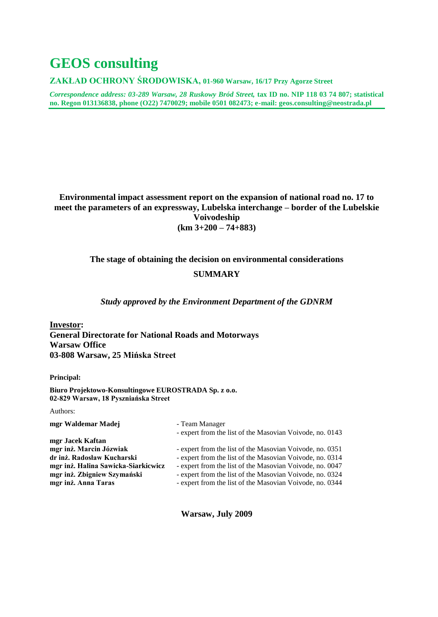# **GEOS consulting**

**ZAKŁAD OCHRONY ŚRODOWISKA, 01-960 Warsaw, 16/17 Przy Agorze Street**

*Correspondence address: 03-289 Warsaw, 28 Ruskowy Bród Street,* **tax ID no. NIP 118 03 74 807; statistical no. Regon 013136838, phone (O22) 7470029; mobile 0501 082473; e-mail: [geos.consulting@neostrada.pl](mailto:geos.consulting@neostrada.pl)**

#### **Environmental impact assessment report on the expansion of national road no. 17 to meet the parameters of an expressway, Lubelska interchange – border of the Lubelskie Voivodeship (km 3+200 – 74+883)**

#### **The stage of obtaining the decision on environmental considerations**

#### **SUMMARY**

*Study approved by the Environment Department of the GDNRM*

**Investor: General Directorate for National Roads and Motorways Warsaw Office 03-808 Warsaw, 25 Mińska Street**

**Principal:**

**Biuro Projektowo-Konsultingowe EUROSTRADA Sp. z o.o. 02-829 Warsaw, 18 Pyszniańska Street**

Authors:

| mgr Waldemar Madej                  | - Team Manager                                           |
|-------------------------------------|----------------------------------------------------------|
|                                     | - expert from the list of the Masovian Voivode, no. 0143 |
| mgr Jacek Kaftan                    |                                                          |
| mgr inż. Marcin Józwiak             | - expert from the list of the Masovian Voivode, no. 0351 |
| dr inż. Radosław Kucharski          | - expert from the list of the Masovian Voivode, no. 0314 |
| mgr inż. Halina Sawicka-Siarkicwicz | - expert from the list of the Masovian Voivode, no. 0047 |
| mgr inż. Zbigniew Szymański         | - expert from the list of the Masovian Voivode, no. 0324 |
| mgr inż. Anna Taras                 | - expert from the list of the Masovian Voivode, no. 0344 |
|                                     |                                                          |

**Warsaw, July 2009**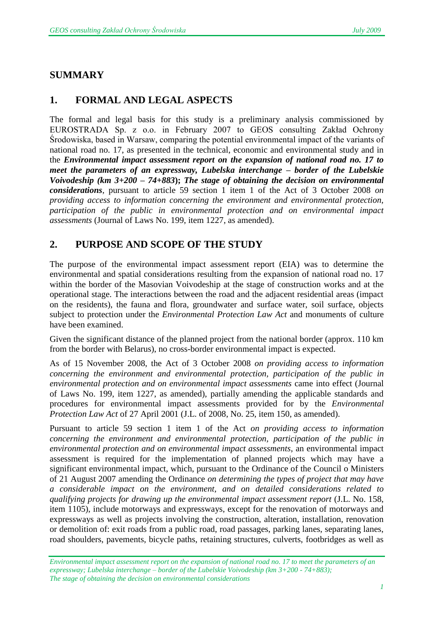## **SUMMARY**

## **1. FORMAL AND LEGAL ASPECTS**

The formal and legal basis for this study is a preliminary analysis commissioned by EUROSTRADA Sp. z o.o. in February 2007 to GEOS consulting Zakład Ochrony Środowiska, based in Warsaw, comparing the potential environmental impact of the variants of national road no. 17, as presented in the technical, economic and environmental study and in the *Environmental impact assessment report on the expansion of national road no. 17 to meet the parameters of an expressway, Lubelska interchange – border of the Lubelskie Voivodeship (km 3+200 – 74+883***);** *The stage of obtaining the decision on environmental considerations*, pursuant to article 59 section 1 item 1 of the Act of 3 October 2008 *on providing access to information concerning the environment and environmental protection, participation of the public in environmental protection and on environmental impact assessments* (Journal of Laws No. 199, item 1227, as amended).

## **2. PURPOSE AND SCOPE OF THE STUDY**

The purpose of the environmental impact assessment report (EIA) was to determine the environmental and spatial considerations resulting from the expansion of national road no. 17 within the border of the Masovian Voivodeship at the stage of construction works and at the operational stage. The interactions between the road and the adjacent residential areas (impact on the residents), the fauna and flora, groundwater and surface water, soil surface, objects subject to protection under the *Environmental Protection Law Act* and monuments of culture have been examined.

Given the significant distance of the planned project from the national border (approx. 110 km from the border with Belarus), no cross-border environmental impact is expected.

As of 15 November 2008, the Act of 3 October 2008 *on providing access to information concerning the environment and environmental protection, participation of the public in environmental protection and on environmental impact assessments* came into effect (Journal of Laws No. 199, item 1227, as amended), partially amending the applicable standards and procedures for environmental impact assessments provided for by the *Environmental Protection Law Act* of 27 April 2001 (J.L. of 2008, No. 25, item 150, as amended).

Pursuant to article 59 section 1 item 1 of the Act *on providing access to information concerning the environment and environmental protection, participation of the public in environmental protection and on environmental impact assessments*, an environmental impact assessment is required for the implementation of planned projects which may have a significant environmental impact, which, pursuant to the Ordinance of the Council o Ministers of 21 August 2007 amending the Ordinance *on determining the types of project that may have a considerable impact on the environment, and on detailed considerations related to qualifying projects for drawing up the environmental impact assessment report* (J.L. No. 158, item 1105), include motorways and expressways, except for the renovation of motorways and expressways as well as projects involving the construction, alteration, installation, renovation or demolition of: exit roads from a public road, road passages, parking lanes, separating lanes, road shoulders, pavements, bicycle paths, retaining structures, culverts, footbridges as well as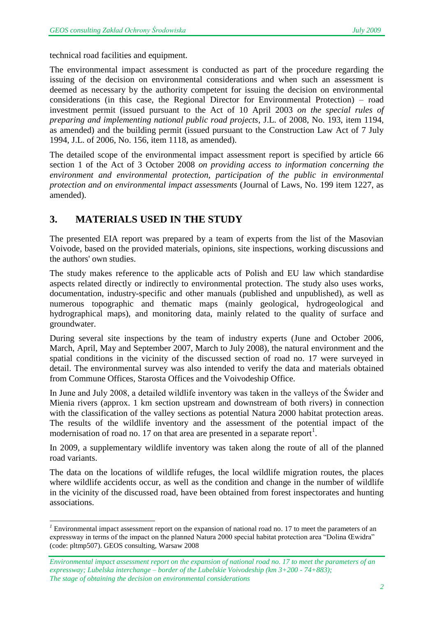technical road facilities and equipment.

The environmental impact assessment is conducted as part of the procedure regarding the issuing of the decision on environmental considerations and when such an assessment is deemed as necessary by the authority competent for issuing the decision on environmental considerations (in this case, the Regional Director for Environmental Protection) – road investment permit (issued pursuant to the Act of 10 April 2003 *on the special rules of preparing and implementing national public road projects*, J.L. of 2008, No. 193, item 1194, as amended) and the building permit (issued pursuant to the Construction Law Act of 7 July 1994, J.L. of 2006, No. 156, item 1118, as amended).

The detailed scope of the environmental impact assessment report is specified by article 66 section 1 of the Act of 3 October 2008 *on providing access to information concerning the environment and environmental protection, participation of the public in environmental protection and on environmental impact assessments* (Journal of Laws, No. 199 item 1227, as amended).

#### **3. MATERIALS USED IN THE STUDY**

l

The presented EIA report was prepared by a team of experts from the list of the Masovian Voivode, based on the provided materials, opinions, site inspections, working discussions and the authors' own studies.

The study makes reference to the applicable acts of Polish and EU law which standardise aspects related directly or indirectly to environmental protection. The study also uses works, documentation, industry-specific and other manuals (published and unpublished), as well as numerous topographic and thematic maps (mainly geological, hydrogeological and hydrographical maps), and monitoring data, mainly related to the quality of surface and groundwater.

During several site inspections by the team of industry experts (June and October 2006, March, April, May and September 2007, March to July 2008), the natural environment and the spatial conditions in the vicinity of the discussed section of road no. 17 were surveyed in detail. The environmental survey was also intended to verify the data and materials obtained from Commune Offices, Starosta Offices and the Voivodeship Office.

In June and July 2008, a detailed wildlife inventory was taken in the valleys of the Świder and Mienia rivers (approx. 1 km section upstream and downstream of both rivers) in connection with the classification of the valley sections as potential Natura 2000 habitat protection areas. The results of the wildlife inventory and the assessment of the potential impact of the modernisation of road no. 17 on that area are presented in a separate report<sup>1</sup>.

In 2009, a supplementary wildlife inventory was taken along the route of all of the planned road variants.

The data on the locations of wildlife refuges, the local wildlife migration routes, the places where wildlife accidents occur, as well as the condition and change in the number of wildlife in the vicinity of the discussed road, have been obtained from forest inspectorates and hunting associations.

*<sup>1</sup>* Environmental impact assessment report on the expansion of national road no. 17 to meet the parameters of an expressway in terms of the impact on the planned Natura 2000 special habitat protection area "Dolina Œwidra" (code: pltmp507). GEOS consulting, Warsaw 2008

*Environmental impact assessment report on the expansion of national road no. 17 to meet the parameters of an expressway; Lubelska interchange – border of the Lubelskie Voivodeship (km 3+200 - 74+883); The stage of obtaining the decision on environmental considerations*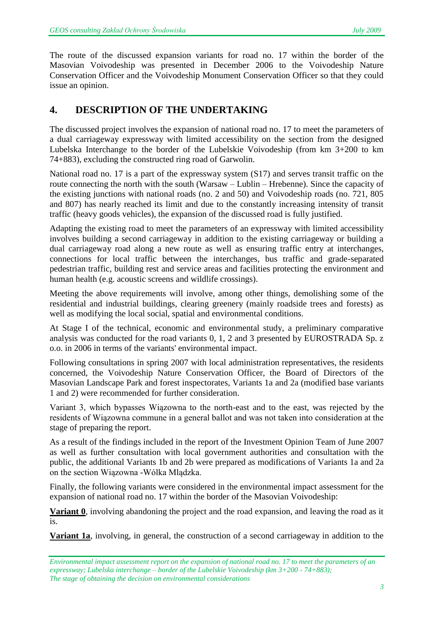The route of the discussed expansion variants for road no. 17 within the border of the Masovian Voivodeship was presented in December 2006 to the Voivodeship Nature Conservation Officer and the Voivodeship Monument Conservation Officer so that they could issue an opinion.

## **4. DESCRIPTION OF THE UNDERTAKING**

The discussed project involves the expansion of national road no. 17 to meet the parameters of a dual carriageway expressway with limited accessibility on the section from the designed Lubelska Interchange to the border of the Lubelskie Voivodeship (from km 3+200 to km 74+883), excluding the constructed ring road of Garwolin.

National road no. 17 is a part of the expressway system (S17) and serves transit traffic on the route connecting the north with the south (Warsaw – Lublin – Hrebenne). Since the capacity of the existing junctions with national roads (no. 2 and 50) and Voivodeship roads (no. 721, 805 and 807) has nearly reached its limit and due to the constantly increasing intensity of transit traffic (heavy goods vehicles), the expansion of the discussed road is fully justified.

Adapting the existing road to meet the parameters of an expressway with limited accessibility involves building a second carriageway in addition to the existing carriageway or building a dual carriageway road along a new route as well as ensuring traffic entry at interchanges, connections for local traffic between the interchanges, bus traffic and grade-separated pedestrian traffic, building rest and service areas and facilities protecting the environment and human health (e.g. acoustic screens and wildlife crossings).

Meeting the above requirements will involve, among other things, demolishing some of the residential and industrial buildings, clearing greenery (mainly roadside trees and forests) as well as modifying the local social, spatial and environmental conditions.

At Stage I of the technical, economic and environmental study, a preliminary comparative analysis was conducted for the road variants 0, 1, 2 and 3 presented by EUROSTRADA Sp. z o.o. in 2006 in terms of the variants' environmental impact.

Following consultations in spring 2007 with local administration representatives, the residents concerned, the Voivodeship Nature Conservation Officer, the Board of Directors of the Masovian Landscape Park and forest inspectorates, Variants 1a and 2a (modified base variants 1 and 2) were recommended for further consideration.

Variant 3, which bypasses Wiązowna to the north-east and to the east, was rejected by the residents of Wiązowna commune in a general ballot and was not taken into consideration at the stage of preparing the report.

As a result of the findings included in the report of the Investment Opinion Team of June 2007 as well as further consultation with local government authorities and consultation with the public, the additional Variants 1b and 2b were prepared as modifications of Variants 1a and 2a on the section Wiązowna -Wólka Mlądzka.

Finally, the following variants were considered in the environmental impact assessment for the expansion of national road no. 17 within the border of the Masovian Voivodeship:

**Variant 0**, involving abandoning the project and the road expansion, and leaving the road as it is.

**Variant 1a**, involving, in general, the construction of a second carriageway in addition to the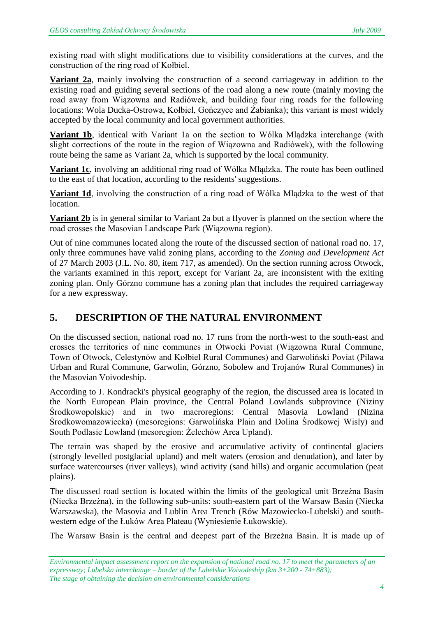existing road with slight modifications due to visibility considerations at the curves, and the construction of the ring road of Kołbiel.

**Variant 2a**, mainly involving the construction of a second carriageway in addition to the existing road and guiding several sections of the road along a new route (mainly moving the road away from Wiązowna and Radiówek, and building four ring roads for the following locations: Wola Ducka-Ostrowa, Kołbiel, Gończyce and Żabianka); this variant is most widely accepted by the local community and local government authorities.

**Variant 1b**, identical with Variant 1a on the section to Wólka Mlądzka interchange (with slight corrections of the route in the region of Wiązowna and Radiówek), with the following route being the same as Variant 2a, which is supported by the local community.

**Variant 1c**, involving an additional ring road of Wólka Mlądzka. The route has been outlined to the east of that location, according to the residents' suggestions.

**Variant 1d**, involving the construction of a ring road of Wólka Mlądzka to the west of that location.

**Variant 2b** is in general similar to Variant 2a but a flyover is planned on the section where the road crosses the Masovian Landscape Park (Wiązowna region).

Out of nine communes located along the route of the discussed section of national road no. 17, only three communes have valid zoning plans, according to the *Zoning and Development Act* of 27 March 2003 (J.L. No. 80, item 717, as amended). On the section running across Otwock, the variants examined in this report, except for Variant 2a, are inconsistent with the exiting zoning plan. Only Górzno commune has a zoning plan that includes the required carriageway for a new expressway.

# **5. DESCRIPTION OF THE NATURAL ENVIRONMENT**

On the discussed section, national road no. 17 runs from the north-west to the south-east and crosses the territories of nine communes in Otwocki Poviat (Wiązowna Rural Commune, Town of Otwock, Celestynów and Kołbiel Rural Communes) and Garwoliński Poviat (Pilawa Urban and Rural Commune, Garwolin, Górzno, Sobolew and Trojanów Rural Communes) in the Masovian Voivodeship.

According to J. Kondracki's physical geography of the region, the discussed area is located in the North European Plain province, the Central Poland Lowlands subprovince (Niziny Środkowopolskie) and in two macroregions: Central Masovia Lowland (Nizina Środkowomazowiecka) (mesoregions: Garwolińska Plain and Dolina Środkowej Wisły) and South Podlasie Lowland (mesoregion: Żelechów Area Upland).

The terrain was shaped by the erosive and accumulative activity of continental glaciers (strongly levelled postglacial upland) and melt waters (erosion and denudation), and later by surface watercourses (river valleys), wind activity (sand hills) and organic accumulation (peat plains).

The discussed road section is located within the limits of the geological unit Brzeżna Basin (Niecka Brzeżna), in the following sub-units: south-eastern part of the Warsaw Basin (Niecka Warszawska), the Masovia and Lublin Area Trench (Rów Mazowiecko-Lubelski) and southwestern edge of the Łuków Area Plateau (Wyniesienie Łukowskie).

The Warsaw Basin is the central and deepest part of the Brzeżna Basin. It is made up of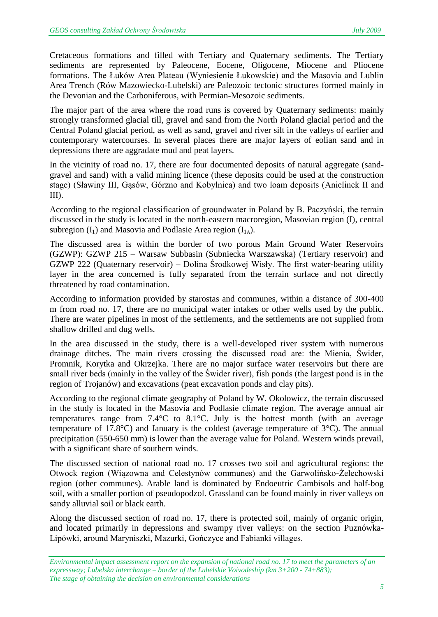Cretaceous formations and filled with Tertiary and Quaternary sediments. The Tertiary sediments are represented by Paleocene, Eocene, Oligocene, Miocene and Pliocene formations. The Łuków Area Plateau (Wyniesienie Łukowskie) and the Masovia and Lublin Area Trench (Rów Mazowiecko-Lubelski) are Paleozoic tectonic structures formed mainly in the Devonian and the Carboniferous, with Permian-Mesozoic sediments.

The major part of the area where the road runs is covered by Quaternary sediments: mainly strongly transformed glacial till, gravel and sand from the North Poland glacial period and the Central Poland glacial period, as well as sand, gravel and river silt in the valleys of earlier and contemporary watercourses. In several places there are major layers of eolian sand and in depressions there are aggradate mud and peat layers.

In the vicinity of road no. 17, there are four documented deposits of natural aggregate (sandgravel and sand) with a valid mining licence (these deposits could be used at the construction stage) (Sławiny III, Gąsów, Górzno and Kobylnica) and two loam deposits (Anielinek II and III).

According to the regional classification of groundwater in Poland by B. Paczyński, the terrain discussed in the study is located in the north-eastern macroregion, Masovian region (I), central subregion  $(I_1)$  and Masovia and Podlasie Area region  $(I_{1A})$ .

The discussed area is within the border of two porous Main Ground Water Reservoirs (GZWP): GZWP 215 – Warsaw Subbasin (Subniecka Warszawska) (Tertiary reservoir) and GZWP 222 (Quaternary reservoir) – Dolina Środkowej Wisły. The first water-bearing utility layer in the area concerned is fully separated from the terrain surface and not directly threatened by road contamination.

According to information provided by starostas and communes, within a distance of 300-400 m from road no. 17, there are no municipal water intakes or other wells used by the public. There are water pipelines in most of the settlements, and the settlements are not supplied from shallow drilled and dug wells.

In the area discussed in the study, there is a well-developed river system with numerous drainage ditches. The main rivers crossing the discussed road are: the Mienia, Świder, Promnik, Korytka and Okrzejka. There are no major surface water reservoirs but there are small river beds (mainly in the valley of the Świder river), fish ponds (the largest pond is in the region of Trojanów) and excavations (peat excavation ponds and clay pits).

According to the regional climate geography of Poland by W. Okolowicz, the terrain discussed in the study is located in the Masovia and Podlasie climate region. The average annual air temperatures range from 7.4°C to 8.1°C. July is the hottest month (with an average temperature of 17.8°C) and January is the coldest (average temperature of 3°C). The annual precipitation (550-650 mm) is lower than the average value for Poland. Western winds prevail, with a significant share of southern winds.

The discussed section of national road no. 17 crosses two soil and agricultural regions: the Otwock region (Wiązowna and Celestynów communes) and the Garwolińsko-Żelechowski region (other communes). Arable land is dominated by Endoeutric Cambisols and half-bog soil, with a smaller portion of pseudopodzol. Grassland can be found mainly in river valleys on sandy alluvial soil or black earth.

Along the discussed section of road no. 17, there is protected soil, mainly of organic origin, and located primarily in depressions and swampy river valleys: on the section Puznówka-Lipówki, around Maryniszki, Mazurki, Gończyce and Fabianki villages.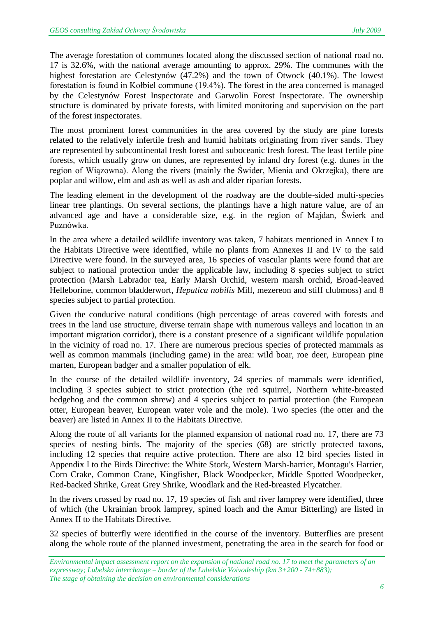The average forestation of communes located along the discussed section of national road no. 17 is 32.6%, with the national average amounting to approx. 29%. The communes with the highest forestation are Celestynów (47.2%) and the town of Otwock (40.1%). The lowest forestation is found in Kołbiel commune (19.4%). The forest in the area concerned is managed by the Celestynów Forest Inspectorate and Garwolin Forest Inspectorate. The ownership structure is dominated by private forests, with limited monitoring and supervision on the part of the forest inspectorates.

The most prominent forest communities in the area covered by the study are pine forests related to the relatively infertile fresh and humid habitats originating from river sands. They are represented by subcontinental fresh forest and suboceanic fresh forest. The least fertile pine forests, which usually grow on dunes, are represented by inland dry forest (e.g. dunes in the region of Wiązowna). Along the rivers (mainly the Świder, Mienia and Okrzejka), there are poplar and willow, elm and ash as well as ash and alder riparian forests.

The leading element in the development of the roadway are the double-sided multi-species linear tree plantings. On several sections, the plantings have a high nature value, are of an advanced age and have a considerable size, e.g. in the region of Majdan, Świerk and Puznówka.

In the area where a detailed wildlife inventory was taken, 7 habitats mentioned in Annex I to the Habitats Directive were identified, while no plants from Annexes II and IV to the said Directive were found. In the surveyed area, 16 species of vascular plants were found that are subject to national protection under the applicable law, including 8 species subject to strict protection (Marsh Labrador tea, Early Marsh Orchid, western marsh orchid, Broad-leaved Helleborine, common bladderwort, *Hepatica nobilis* Mill, mezereon and stiff clubmoss) and 8 species subject to partial protection.

Given the conducive natural conditions (high percentage of areas covered with forests and trees in the land use structure, diverse terrain shape with numerous valleys and location in an important migration corridor), there is a constant presence of a significant wildlife population in the vicinity of road no. 17. There are numerous precious species of protected mammals as well as common mammals (including game) in the area: wild boar, roe deer, European pine marten, European badger and a smaller population of elk.

In the course of the detailed wildlife inventory, 24 species of mammals were identified, including 3 species subject to strict protection (the red squirrel, Northern white-breasted hedgehog and the common shrew) and 4 species subject to partial protection (the European otter, European beaver, European water vole and the mole). Two species (the otter and the beaver) are listed in Annex II to the Habitats Directive.

Along the route of all variants for the planned expansion of national road no. 17, there are 73 species of nesting birds. The majority of the species (68) are strictly protected taxons, including 12 species that require active protection. There are also 12 bird species listed in Appendix I to the Birds Directive: the White Stork, Western Marsh-harrier, Montagu's Harrier, Corn Crake, Common Crane, Kingfisher, Black Woodpecker, Middle Spotted Woodpecker, Red-backed Shrike, Great Grey Shrike, Woodlark and the Red-breasted Flycatcher.

In the rivers crossed by road no. 17, 19 species of fish and river lamprey were identified, three of which (the Ukrainian brook lamprey, spined loach and the Amur Bitterling) are listed in Annex II to the Habitats Directive.

32 species of butterfly were identified in the course of the inventory. Butterflies are present along the whole route of the planned investment, penetrating the area in the search for food or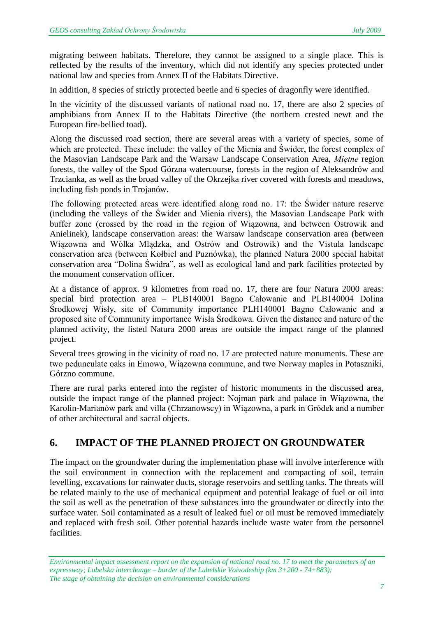migrating between habitats. Therefore, they cannot be assigned to a single place. This is reflected by the results of the inventory, which did not identify any species protected under national law and species from Annex II of the Habitats Directive.

In addition, 8 species of strictly protected beetle and 6 species of dragonfly were identified.

In the vicinity of the discussed variants of national road no. 17, there are also 2 species of amphibians from Annex II to the Habitats Directive (the northern crested newt and the European fire-bellied toad).

Along the discussed road section, there are several areas with a variety of species, some of which are protected. These include: the valley of the Mienia and Świder, the forest complex of the Masovian Landscape Park and the Warsaw Landscape Conservation Area, *Miętne* region forests*,* the valley of the Spod Górzna watercourse, forests in the region of Aleksandrów and Trzcianka, as well as the broad valley of the Okrzejka river covered with forests and meadows, including fish ponds in Trojanów.

The following protected areas were identified along road no. 17: the Świder nature reserve (including the valleys of the Świder and Mienia rivers), the Masovian Landscape Park with buffer zone (crossed by the road in the region of Wiązowna, and between Ostrowik and Anielinek), landscape conservation areas: the Warsaw landscape conservation area (between Wiązowna and Wólka Mlądzka, and Ostrów and Ostrowik) and the Vistula landscape conservation area (between Kołbiel and Puznówka), the planned Natura 2000 special habitat conservation area "Dolina Świdra", as well as ecological land and park facilities protected by the monument conservation officer.

At a distance of approx. 9 kilometres from road no. 17, there are four Natura 2000 areas: special bird protection area – PLB140001 Bagno Całowanie and PLB140004 Dolina Środkowej Wisły, site of Community importance PLH140001 Bagno Całowanie and a proposed site of Community importance Wisła Środkowa. Given the distance and nature of the planned activity, the listed Natura 2000 areas are outside the impact range of the planned project.

Several trees growing in the vicinity of road no. 17 are protected nature monuments. These are two pedunculate oaks in Emowo, Wiązowna commune, and two Norway maples in Potaszniki, Górzno commune.

There are rural parks entered into the register of historic monuments in the discussed area, outside the impact range of the planned project: Nojman park and palace in Wiązowna, the Karolin-Marianów park and villa (Chrzanowscy) in Wiązowna, a park in Gródek and a number of other architectural and sacral objects.

#### **6. IMPACT OF THE PLANNED PROJECT ON GROUNDWATER**

The impact on the groundwater during the implementation phase will involve interference with the soil environment in connection with the replacement and compacting of soil, terrain levelling, excavations for rainwater ducts, storage reservoirs and settling tanks. The threats will be related mainly to the use of mechanical equipment and potential leakage of fuel or oil into the soil as well as the penetration of these substances into the groundwater or directly into the surface water. Soil contaminated as a result of leaked fuel or oil must be removed immediately and replaced with fresh soil. Other potential hazards include waste water from the personnel facilities.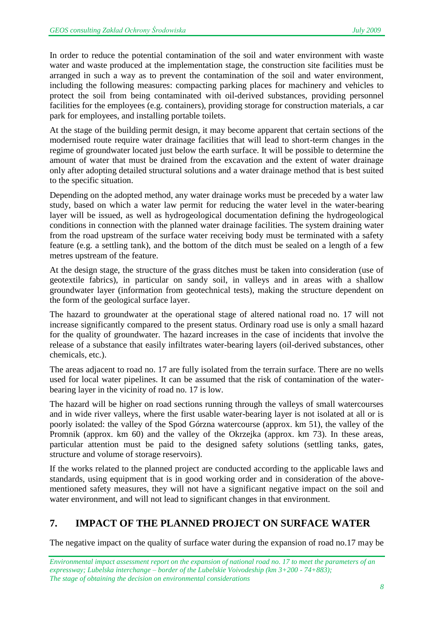In order to reduce the potential contamination of the soil and water environment with waste water and waste produced at the implementation stage, the construction site facilities must be arranged in such a way as to prevent the contamination of the soil and water environment, including the following measures: compacting parking places for machinery and vehicles to protect the soil from being contaminated with oil-derived substances, providing personnel facilities for the employees (e.g. containers), providing storage for construction materials, a car park for employees, and installing portable toilets.

At the stage of the building permit design, it may become apparent that certain sections of the modernised route require water drainage facilities that will lead to short-term changes in the regime of groundwater located just below the earth surface. It will be possible to determine the amount of water that must be drained from the excavation and the extent of water drainage only after adopting detailed structural solutions and a water drainage method that is best suited to the specific situation.

Depending on the adopted method, any water drainage works must be preceded by a water law study, based on which a water law permit for reducing the water level in the water-bearing layer will be issued, as well as hydrogeological documentation defining the hydrogeological conditions in connection with the planned water drainage facilities. The system draining water from the road upstream of the surface water receiving body must be terminated with a safety feature (e.g. a settling tank), and the bottom of the ditch must be sealed on a length of a few metres upstream of the feature.

At the design stage, the structure of the grass ditches must be taken into consideration (use of geotextile fabrics), in particular on sandy soil, in valleys and in areas with a shallow groundwater layer (information from geotechnical tests), making the structure dependent on the form of the geological surface layer.

The hazard to groundwater at the operational stage of altered national road no. 17 will not increase significantly compared to the present status. Ordinary road use is only a small hazard for the quality of groundwater. The hazard increases in the case of incidents that involve the release of a substance that easily infiltrates water-bearing layers (oil-derived substances, other chemicals, etc.).

The areas adjacent to road no. 17 are fully isolated from the terrain surface. There are no wells used for local water pipelines. It can be assumed that the risk of contamination of the waterbearing layer in the vicinity of road no. 17 is low.

The hazard will be higher on road sections running through the valleys of small watercourses and in wide river valleys, where the first usable water-bearing layer is not isolated at all or is poorly isolated: the valley of the Spod Górzna watercourse (approx. km 51), the valley of the Promnik (approx. km 60) and the valley of the Okrzejka (approx. km 73). In these areas, particular attention must be paid to the designed safety solutions (settling tanks, gates, structure and volume of storage reservoirs).

If the works related to the planned project are conducted according to the applicable laws and standards, using equipment that is in good working order and in consideration of the abovementioned safety measures, they will not have a significant negative impact on the soil and water environment, and will not lead to significant changes in that environment.

# **7. IMPACT OF THE PLANNED PROJECT ON SURFACE WATER**

The negative impact on the quality of surface water during the expansion of road no.17 may be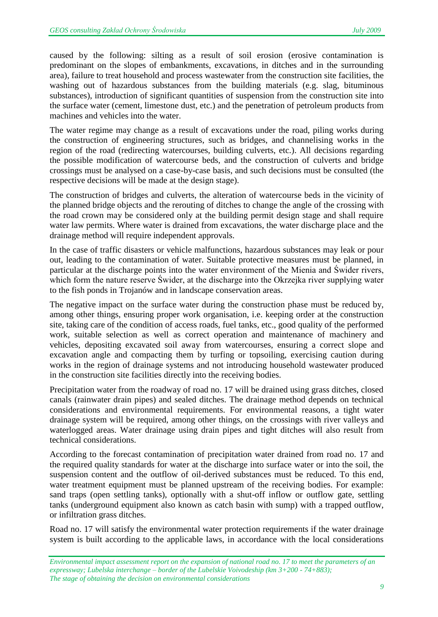caused by the following: silting as a result of soil erosion (erosive contamination is predominant on the slopes of embankments, excavations, in ditches and in the surrounding area), failure to treat household and process wastewater from the construction site facilities, the washing out of hazardous substances from the building materials (e.g. slag, bituminous substances), introduction of significant quantities of suspension from the construction site into the surface water (cement, limestone dust, etc.) and the penetration of petroleum products from machines and vehicles into the water.

The water regime may change as a result of excavations under the road, piling works during the construction of engineering structures, such as bridges, and channelising works in the region of the road (redirecting watercourses, building culverts, etc.). All decisions regarding the possible modification of watercourse beds, and the construction of culverts and bridge crossings must be analysed on a case-by-case basis, and such decisions must be consulted (the respective decisions will be made at the design stage).

The construction of bridges and culverts, the alteration of watercourse beds in the vicinity of the planned bridge objects and the rerouting of ditches to change the angle of the crossing with the road crown may be considered only at the building permit design stage and shall require water law permits. Where water is drained from excavations, the water discharge place and the drainage method will require independent approvals.

In the case of traffic disasters or vehicle malfunctions, hazardous substances may leak or pour out, leading to the contamination of water. Suitable protective measures must be planned, in particular at the discharge points into the water environment of the Mienia and Świder rivers, which form the nature reserve Świder, at the discharge into the Okrzejka river supplying water to the fish ponds in Trojanów and in landscape conservation areas.

The negative impact on the surface water during the construction phase must be reduced by, among other things, ensuring proper work organisation, i.e. keeping order at the construction site, taking care of the condition of access roads, fuel tanks, etc., good quality of the performed work, suitable selection as well as correct operation and maintenance of machinery and vehicles, depositing excavated soil away from watercourses, ensuring a correct slope and excavation angle and compacting them by turfing or topsoiling, exercising caution during works in the region of drainage systems and not introducing household wastewater produced in the construction site facilities directly into the receiving bodies.

Precipitation water from the roadway of road no. 17 will be drained using grass ditches, closed canals (rainwater drain pipes) and sealed ditches. The drainage method depends on technical considerations and environmental requirements. For environmental reasons, a tight water drainage system will be required, among other things, on the crossings with river valleys and waterlogged areas. Water drainage using drain pipes and tight ditches will also result from technical considerations.

According to the forecast contamination of precipitation water drained from road no. 17 and the required quality standards for water at the discharge into surface water or into the soil, the suspension content and the outflow of oil-derived substances must be reduced. To this end, water treatment equipment must be planned upstream of the receiving bodies. For example: sand traps (open settling tanks), optionally with a shut-off inflow or outflow gate, settling tanks (underground equipment also known as catch basin with sump) with a trapped outflow, or infiltration grass ditches.

Road no. 17 will satisfy the environmental water protection requirements if the water drainage system is built according to the applicable laws, in accordance with the local considerations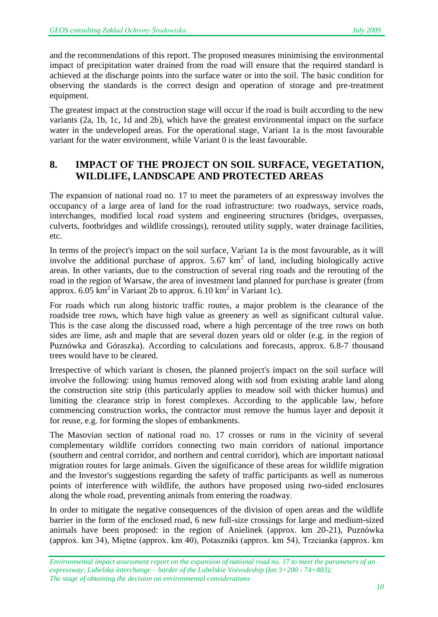and the recommendations of this report. The proposed measures minimising the environmental impact of precipitation water drained from the road will ensure that the required standard is achieved at the discharge points into the surface water or into the soil. The basic condition for observing the standards is the correct design and operation of storage and pre-treatment equipment.

The greatest impact at the construction stage will occur if the road is built according to the new variants (2a, 1b, 1c, 1d and 2b), which have the greatest environmental impact on the surface water in the undeveloped areas. For the operational stage, Variant 1a is the most favourable variant for the water environment, while Variant 0 is the least favourable.

#### **8. IMPACT OF THE PROJECT ON SOIL SURFACE, VEGETATION, WILDLIFE, LANDSCAPE AND PROTECTED AREAS**

The expansion of national road no. 17 to meet the parameters of an expressway involves the occupancy of a large area of land for the road infrastructure: two roadways, service roads, interchanges, modified local road system and engineering structures (bridges, overpasses, culverts, footbridges and wildlife crossings), rerouted utility supply, water drainage facilities, etc.

In terms of the project's impact on the soil surface, Variant 1a is the most favourable, as it will involve the additional purchase of approx.  $5.67 \text{ km}^2$  of land, including biologically active areas. In other variants, due to the construction of several ring roads and the rerouting of the road in the region of Warsaw, the area of investment land planned for purchase is greater (from approx. 6.05  $\text{km}^2$  in Variant 2b to approx. 6.10 km<sup>2</sup> in Variant 1c).

For roads which run along historic traffic routes, a major problem is the clearance of the roadside tree rows, which have high value as greenery as well as significant cultural value. This is the case along the discussed road, where a high percentage of the tree rows on both sides are lime, ash and maple that are several dozen years old or older (e.g. in the region of Puznówka and Góraszka). According to calculations and forecasts, approx. 6.8-7 thousand trees would have to be cleared.

Irrespective of which variant is chosen, the planned project's impact on the soil surface will involve the following: using humus removed along with sod from existing arable land along the construction site strip (this particularly applies to meadow soil with thicker humus) and limiting the clearance strip in forest complexes. According to the applicable law, before commencing construction works, the contractor must remove the humus layer and deposit it for reuse, e.g. for forming the slopes of embankments.

The Masovian section of national road no. 17 crosses or runs in the vicinity of several complementary wildlife corridors connecting two main corridors of national importance (southern and central corridor, and northern and central corridor), which are important national migration routes for large animals. Given the significance of these areas for wildlife migration and the Investor's suggestions regarding the safety of traffic participants as well as numerous points of interference with wildlife, the authors have proposed using two-sided enclosures along the whole road, preventing animals from entering the roadway.

In order to mitigate the negative consequences of the division of open areas and the wildlife barrier in the form of the enclosed road, 6 new full-size crossings for large and medium-sized animals have been proposed: in the region of Anielinek (approx. km 20-21), Puznówka (approx. km 34), Miętne (approx. km 40), Potaszniki (approx. km 54), Trzcianka (approx. km

*Environmental impact assessment report on the expansion of national road no. 17 to meet the parameters of an expressway; Lubelska interchange – border of the Lubelskie Voivodeship (km 3+200 - 74+883); The stage of obtaining the decision on environmental considerations*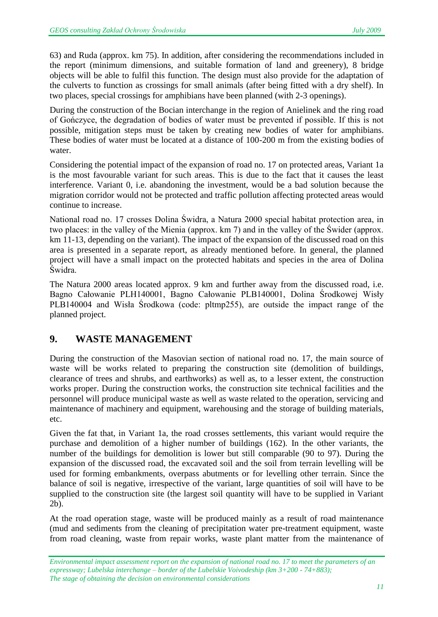63) and Ruda (approx. km 75). In addition, after considering the recommendations included in the report (minimum dimensions, and suitable formation of land and greenery), 8 bridge objects will be able to fulfil this function. The design must also provide for the adaptation of the culverts to function as crossings for small animals (after being fitted with a dry shelf). In two places, special crossings for amphibians have been planned (with 2-3 openings).

During the construction of the Bocian interchange in the region of Anielinek and the ring road of Gończyce, the degradation of bodies of water must be prevented if possible. If this is not possible, mitigation steps must be taken by creating new bodies of water for amphibians. These bodies of water must be located at a distance of 100-200 m from the existing bodies of water.

Considering the potential impact of the expansion of road no. 17 on protected areas, Variant 1a is the most favourable variant for such areas. This is due to the fact that it causes the least interference. Variant 0, i.e. abandoning the investment, would be a bad solution because the migration corridor would not be protected and traffic pollution affecting protected areas would continue to increase.

National road no. 17 crosses Dolina Świdra, a Natura 2000 special habitat protection area, in two places: in the valley of the Mienia (approx. km 7) and in the valley of the Świder (approx. km 11-13, depending on the variant). The impact of the expansion of the discussed road on this area is presented in a separate report, as already mentioned before. In general, the planned project will have a small impact on the protected habitats and species in the area of Dolina Świdra.

The Natura 2000 areas located approx. 9 km and further away from the discussed road, i.e. Bagno Całowanie PLH140001, Bagno Całowanie PLB140001, Dolina Środkowej Wisły PLB140004 and Wisła Środkowa (code: pltmp255), are outside the impact range of the planned project.

#### **9. WASTE MANAGEMENT**

During the construction of the Masovian section of national road no. 17, the main source of waste will be works related to preparing the construction site (demolition of buildings, clearance of trees and shrubs, and earthworks) as well as, to a lesser extent, the construction works proper. During the construction works, the construction site technical facilities and the personnel will produce municipal waste as well as waste related to the operation, servicing and maintenance of machinery and equipment, warehousing and the storage of building materials, etc.

Given the fat that, in Variant 1a, the road crosses settlements, this variant would require the purchase and demolition of a higher number of buildings (162). In the other variants, the number of the buildings for demolition is lower but still comparable (90 to 97). During the expansion of the discussed road, the excavated soil and the soil from terrain levelling will be used for forming embankments, overpass abutments or for levelling other terrain. Since the balance of soil is negative, irrespective of the variant, large quantities of soil will have to be supplied to the construction site (the largest soil quantity will have to be supplied in Variant 2b).

At the road operation stage, waste will be produced mainly as a result of road maintenance (mud and sediments from the cleaning of precipitation water pre-treatment equipment, waste from road cleaning, waste from repair works, waste plant matter from the maintenance of

*Environmental impact assessment report on the expansion of national road no. 17 to meet the parameters of an expressway; Lubelska interchange – border of the Lubelskie Voivodeship (km 3+200 - 74+883); The stage of obtaining the decision on environmental considerations*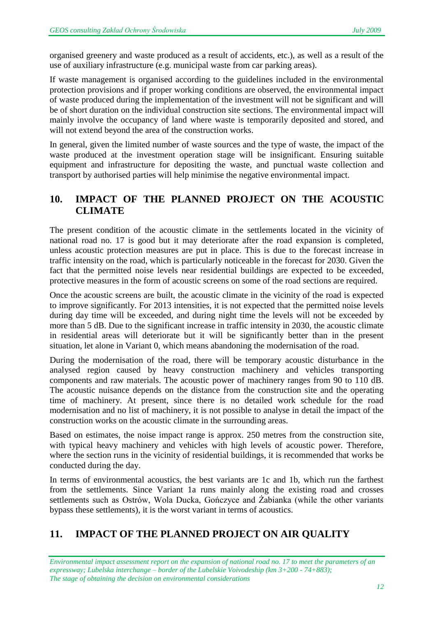organised greenery and waste produced as a result of accidents, etc.), as well as a result of the use of auxiliary infrastructure (e.g. municipal waste from car parking areas).

If waste management is organised according to the guidelines included in the environmental protection provisions and if proper working conditions are observed, the environmental impact of waste produced during the implementation of the investment will not be significant and will be of short duration on the individual construction site sections. The environmental impact will mainly involve the occupancy of land where waste is temporarily deposited and stored, and will not extend beyond the area of the construction works.

In general, given the limited number of waste sources and the type of waste, the impact of the waste produced at the investment operation stage will be insignificant. Ensuring suitable equipment and infrastructure for depositing the waste, and punctual waste collection and transport by authorised parties will help minimise the negative environmental impact.

#### **10. IMPACT OF THE PLANNED PROJECT ON THE ACOUSTIC CLIMATE**

The present condition of the acoustic climate in the settlements located in the vicinity of national road no. 17 is good but it may deteriorate after the road expansion is completed, unless acoustic protection measures are put in place. This is due to the forecast increase in traffic intensity on the road, which is particularly noticeable in the forecast for 2030. Given the fact that the permitted noise levels near residential buildings are expected to be exceeded, protective measures in the form of acoustic screens on some of the road sections are required.

Once the acoustic screens are built, the acoustic climate in the vicinity of the road is expected to improve significantly. For 2013 intensities, it is not expected that the permitted noise levels during day time will be exceeded, and during night time the levels will not be exceeded by more than 5 dB. Due to the significant increase in traffic intensity in 2030, the acoustic climate in residential areas will deteriorate but it will be significantly better than in the present situation, let alone in Variant 0, which means abandoning the modernisation of the road.

During the modernisation of the road, there will be temporary acoustic disturbance in the analysed region caused by heavy construction machinery and vehicles transporting components and raw materials. The acoustic power of machinery ranges from 90 to 110 dB. The acoustic nuisance depends on the distance from the construction site and the operating time of machinery. At present, since there is no detailed work schedule for the road modernisation and no list of machinery, it is not possible to analyse in detail the impact of the construction works on the acoustic climate in the surrounding areas.

Based on estimates, the noise impact range is approx. 250 metres from the construction site, with typical heavy machinery and vehicles with high levels of acoustic power. Therefore, where the section runs in the vicinity of residential buildings, it is recommended that works be conducted during the day.

In terms of environmental acoustics, the best variants are 1c and 1b, which run the farthest from the settlements. Since Variant 1a runs mainly along the existing road and crosses settlements such as Ostrów, Wola Ducka, Gończyce and Żabianka (while the other variants bypass these settlements), it is the worst variant in terms of acoustics.

# **11. IMPACT OF THE PLANNED PROJECT ON AIR QUALITY**

*Environmental impact assessment report on the expansion of national road no. 17 to meet the parameters of an expressway; Lubelska interchange – border of the Lubelskie Voivodeship (km 3+200 - 74+883); The stage of obtaining the decision on environmental considerations*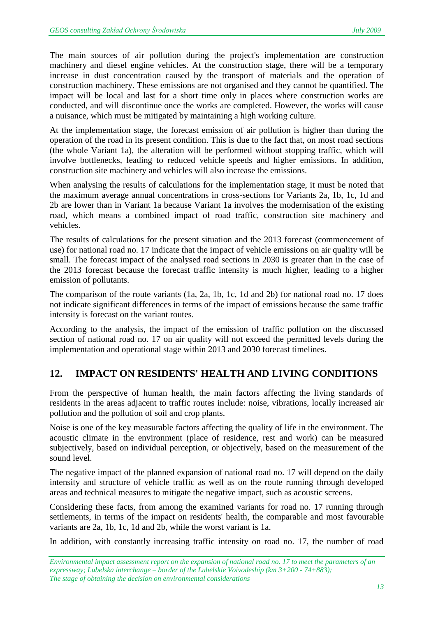The main sources of air pollution during the project's implementation are construction machinery and diesel engine vehicles. At the construction stage, there will be a temporary increase in dust concentration caused by the transport of materials and the operation of construction machinery. These emissions are not organised and they cannot be quantified. The impact will be local and last for a short time only in places where construction works are conducted, and will discontinue once the works are completed. However, the works will cause a nuisance, which must be mitigated by maintaining a high working culture.

At the implementation stage, the forecast emission of air pollution is higher than during the operation of the road in its present condition. This is due to the fact that, on most road sections (the whole Variant 1a), the alteration will be performed without stopping traffic, which will involve bottlenecks, leading to reduced vehicle speeds and higher emissions. In addition, construction site machinery and vehicles will also increase the emissions.

When analysing the results of calculations for the implementation stage, it must be noted that the maximum average annual concentrations in cross-sections for Variants 2a, 1b, 1c, 1d and 2b are lower than in Variant 1a because Variant 1a involves the modernisation of the existing road, which means a combined impact of road traffic, construction site machinery and vehicles.

The results of calculations for the present situation and the 2013 forecast (commencement of use) for national road no. 17 indicate that the impact of vehicle emissions on air quality will be small. The forecast impact of the analysed road sections in 2030 is greater than in the case of the 2013 forecast because the forecast traffic intensity is much higher, leading to a higher emission of pollutants.

The comparison of the route variants (1a, 2a, 1b, 1c, 1d and 2b) for national road no. 17 does not indicate significant differences in terms of the impact of emissions because the same traffic intensity is forecast on the variant routes.

According to the analysis, the impact of the emission of traffic pollution on the discussed section of national road no. 17 on air quality will not exceed the permitted levels during the implementation and operational stage within 2013 and 2030 forecast timelines.

# **12. IMPACT ON RESIDENTS' HEALTH AND LIVING CONDITIONS**

From the perspective of human health, the main factors affecting the living standards of residents in the areas adjacent to traffic routes include: noise, vibrations, locally increased air pollution and the pollution of soil and crop plants.

Noise is one of the key measurable factors affecting the quality of life in the environment. The acoustic climate in the environment (place of residence, rest and work) can be measured subjectively, based on individual perception, or objectively, based on the measurement of the sound level.

The negative impact of the planned expansion of national road no. 17 will depend on the daily intensity and structure of vehicle traffic as well as on the route running through developed areas and technical measures to mitigate the negative impact, such as acoustic screens.

Considering these facts, from among the examined variants for road no. 17 running through settlements, in terms of the impact on residents' health, the comparable and most favourable variants are 2a, 1b, 1c, 1d and 2b, while the worst variant is 1a.

In addition, with constantly increasing traffic intensity on road no. 17, the number of road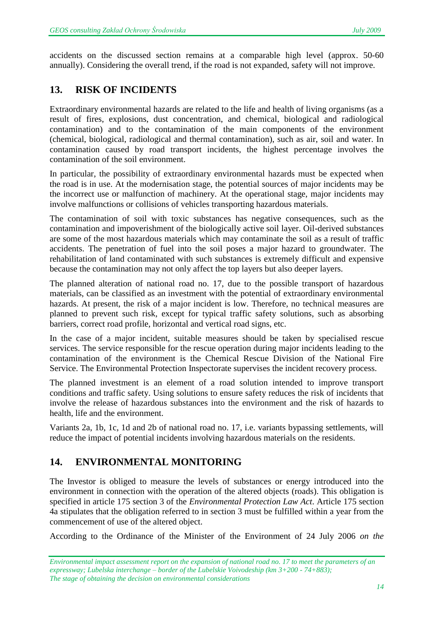accidents on the discussed section remains at a comparable high level (approx. 50-60 annually). Considering the overall trend, if the road is not expanded, safety will not improve.

#### **13. RISK OF INCIDENTS**

Extraordinary environmental hazards are related to the life and health of living organisms (as a result of fires, explosions, dust concentration, and chemical, biological and radiological contamination) and to the contamination of the main components of the environment (chemical, biological, radiological and thermal contamination), such as air, soil and water. In contamination caused by road transport incidents, the highest percentage involves the contamination of the soil environment.

In particular, the possibility of extraordinary environmental hazards must be expected when the road is in use. At the modernisation stage, the potential sources of major incidents may be the incorrect use or malfunction of machinery. At the operational stage, major incidents may involve malfunctions or collisions of vehicles transporting hazardous materials.

The contamination of soil with toxic substances has negative consequences, such as the contamination and impoverishment of the biologically active soil layer. Oil-derived substances are some of the most hazardous materials which may contaminate the soil as a result of traffic accidents. The penetration of fuel into the soil poses a major hazard to groundwater. The rehabilitation of land contaminated with such substances is extremely difficult and expensive because the contamination may not only affect the top layers but also deeper layers.

The planned alteration of national road no. 17, due to the possible transport of hazardous materials, can be classified as an investment with the potential of extraordinary environmental hazards. At present, the risk of a major incident is low. Therefore, no technical measures are planned to prevent such risk, except for typical traffic safety solutions, such as absorbing barriers, correct road profile, horizontal and vertical road signs, etc.

In the case of a major incident, suitable measures should be taken by specialised rescue services. The service responsible for the rescue operation during major incidents leading to the contamination of the environment is the Chemical Rescue Division of the National Fire Service. The Environmental Protection Inspectorate supervises the incident recovery process.

The planned investment is an element of a road solution intended to improve transport conditions and traffic safety. Using solutions to ensure safety reduces the risk of incidents that involve the release of hazardous substances into the environment and the risk of hazards to health, life and the environment.

Variants 2a, 1b, 1c, 1d and 2b of national road no. 17, i.e. variants bypassing settlements, will reduce the impact of potential incidents involving hazardous materials on the residents.

#### **14. ENVIRONMENTAL MONITORING**

The Investor is obliged to measure the levels of substances or energy introduced into the environment in connection with the operation of the altered objects (roads). This obligation is specified in article 175 section 3 of the *Environmental Protection Law Act*. Article 175 section 4a stipulates that the obligation referred to in section 3 must be fulfilled within a year from the commencement of use of the altered object.

According to the Ordinance of the Minister of the Environment of 24 July 2006 *on the*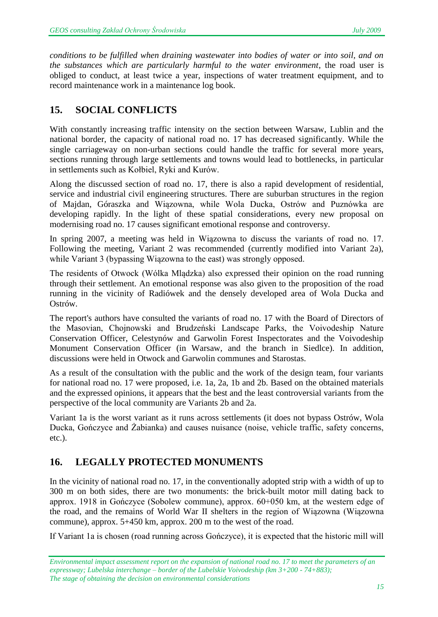*conditions to be fulfilled when draining wastewater into bodies of water or into soil, and on the substances which are particularly harmful to the water environment*, the road user is obliged to conduct, at least twice a year, inspections of water treatment equipment, and to record maintenance work in a maintenance log book.

## **15. SOCIAL CONFLICTS**

With constantly increasing traffic intensity on the section between Warsaw, Lublin and the national border, the capacity of national road no. 17 has decreased significantly. While the single carriageway on non-urban sections could handle the traffic for several more years, sections running through large settlements and towns would lead to bottlenecks, in particular in settlements such as Kołbiel, Ryki and Kurów.

Along the discussed section of road no. 17, there is also a rapid development of residential, service and industrial civil engineering structures. There are suburban structures in the region of Majdan, Góraszka and Wiązowna, while Wola Ducka, Ostrów and Puznówka are developing rapidly. In the light of these spatial considerations, every new proposal on modernising road no. 17 causes significant emotional response and controversy.

In spring 2007, a meeting was held in Wiązowna to discuss the variants of road no. 17. Following the meeting, Variant 2 was recommended (currently modified into Variant 2a), while Variant 3 (bypassing Wiązowna to the east) was strongly opposed.

The residents of Otwock (Wólka Mlądzka) also expressed their opinion on the road running through their settlement. An emotional response was also given to the proposition of the road running in the vicinity of Radiówek and the densely developed area of Wola Ducka and Ostrów.

The report's authors have consulted the variants of road no. 17 with the Board of Directors of the Masovian, Chojnowski and Brudzeński Landscape Parks, the Voivodeship Nature Conservation Officer, Celestynów and Garwolin Forest Inspectorates and the Voivodeship Monument Conservation Officer (in Warsaw, and the branch in Siedlce). In addition, discussions were held in Otwock and Garwolin communes and Starostas.

As a result of the consultation with the public and the work of the design team, four variants for national road no. 17 were proposed, i.e. 1a, 2a, 1b and 2b. Based on the obtained materials and the expressed opinions, it appears that the best and the least controversial variants from the perspective of the local community are Variants 2b and 2a.

Variant 1a is the worst variant as it runs across settlements (it does not bypass Ostrów, Wola Ducka, Gończyce and Żabianka) and causes nuisance (noise, vehicle traffic, safety concerns, etc.).

#### **16. LEGALLY PROTECTED MONUMENTS**

In the vicinity of national road no. 17, in the conventionally adopted strip with a width of up to 300 m on both sides, there are two monuments: the brick-built motor mill dating back to approx. 1918 in Gończyce (Sobolew commune), approx. 60+050 km, at the western edge of the road, and the remains of World War II shelters in the region of Wiązowna (Wiązowna commune), approx. 5+450 km, approx. 200 m to the west of the road.

If Variant 1a is chosen (road running across Gończyce), it is expected that the historic mill will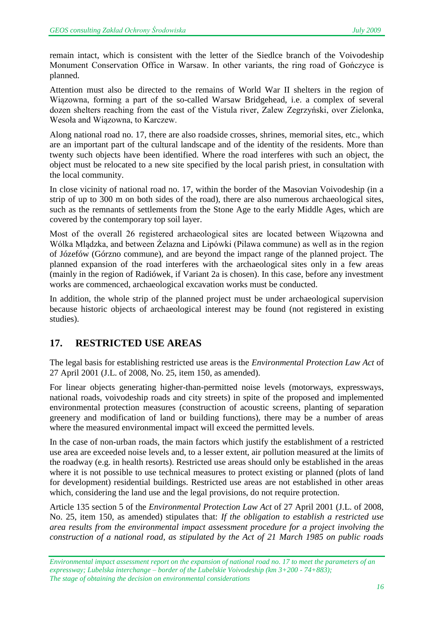remain intact, which is consistent with the letter of the Siedlce branch of the Voivodeship Monument Conservation Office in Warsaw. In other variants, the ring road of Gończyce is planned.

Attention must also be directed to the remains of World War II shelters in the region of Wiązowna, forming a part of the so-called Warsaw Bridgehead, i.e. a complex of several dozen shelters reaching from the east of the Vistula river, Zalew Zegrzyński, over Zielonka, Wesoła and Wiązowna, to Karczew.

Along national road no. 17, there are also roadside crosses, shrines, memorial sites, etc., which are an important part of the cultural landscape and of the identity of the residents. More than twenty such objects have been identified. Where the road interferes with such an object, the object must be relocated to a new site specified by the local parish priest, in consultation with the local community.

In close vicinity of national road no. 17, within the border of the Masovian Voivodeship (in a strip of up to 300 m on both sides of the road), there are also numerous archaeological sites, such as the remnants of settlements from the Stone Age to the early Middle Ages, which are covered by the contemporary top soil layer.

Most of the overall 26 registered archaeological sites are located between Wiązowna and Wólka Mlądzka, and between Żelazna and Lipówki (Pilawa commune) as well as in the region of Józefów (Górzno commune), and are beyond the impact range of the planned project. The planned expansion of the road interferes with the archaeological sites only in a few areas (mainly in the region of Radiówek, if Variant 2a is chosen). In this case, before any investment works are commenced, archaeological excavation works must be conducted.

In addition, the whole strip of the planned project must be under archaeological supervision because historic objects of archaeological interest may be found (not registered in existing studies).

#### **17. RESTRICTED USE AREAS**

The legal basis for establishing restricted use areas is the *Environmental Protection Law Act* of 27 April 2001 (J.L. of 2008, No. 25, item 150, as amended).

For linear objects generating higher-than-permitted noise levels (motorways, expressways, national roads, voivodeship roads and city streets) in spite of the proposed and implemented environmental protection measures (construction of acoustic screens, planting of separation greenery and modification of land or building functions), there may be a number of areas where the measured environmental impact will exceed the permitted levels.

In the case of non-urban roads, the main factors which justify the establishment of a restricted use area are exceeded noise levels and, to a lesser extent, air pollution measured at the limits of the roadway (e.g. in health resorts). Restricted use areas should only be established in the areas where it is not possible to use technical measures to protect existing or planned (plots of land for development) residential buildings. Restricted use areas are not established in other areas which, considering the land use and the legal provisions, do not require protection.

Article 135 section 5 of the *Environmental Protection Law Act* of 27 April 2001 (J.L. of 2008, No. 25, item 150, as amended) stipulates that: *If the obligation to establish a restricted use area results from the environmental impact assessment procedure for a project involving the construction of a national road, as stipulated by the Act of 21 March 1985 on public roads* 

*Environmental impact assessment report on the expansion of national road no. 17 to meet the parameters of an expressway; Lubelska interchange – border of the Lubelskie Voivodeship (km 3+200 - 74+883); The stage of obtaining the decision on environmental considerations*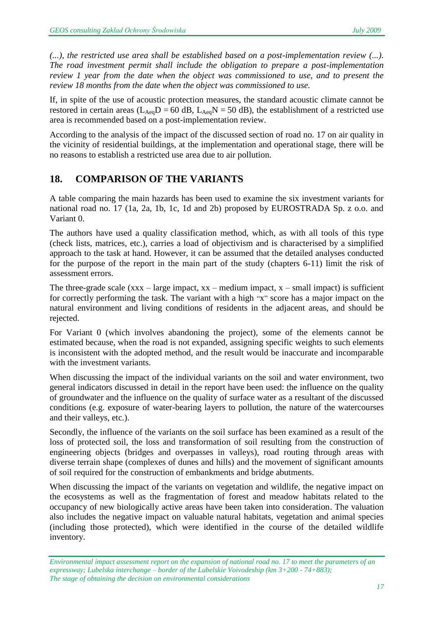*(...), the restricted use area shall be established based on a post-implementation review (...). The road investment permit shall include the obligation to prepare a post-implementation review 1 year from the date when the object was commissioned to use, and to present the review 18 months from the date when the object was commissioned to use.*

If, in spite of the use of acoustic protection measures, the standard acoustic climate cannot be restored in certain areas ( $L_{Aeq}D = 60$  dB,  $L_{Aeq}N = 50$  dB), the establishment of a restricted use area is recommended based on a post-implementation review.

According to the analysis of the impact of the discussed section of road no. 17 on air quality in the vicinity of residential buildings, at the implementation and operational stage, there will be no reasons to establish a restricted use area due to air pollution.

# **18. COMPARISON OF THE VARIANTS**

A table comparing the main hazards has been used to examine the six investment variants for national road no. 17 (1a, 2a, 1b, 1c, 1d and 2b) proposed by EUROSTRADA Sp. z o.o. and Variant 0.

The authors have used a quality classification method, which, as with all tools of this type (check lists, matrices, etc.), carries a load of objectivism and is characterised by a simplified approach to the task at hand. However, it can be assumed that the detailed analyses conducted for the purpose of the report in the main part of the study (chapters 6-11) limit the risk of assessment errors.

The three-grade scale  $(xxx - large impact, xx - medium impact, x - small impact)$  is sufficient for correctly performing the task. The variant with a high "x" score has a major impact on the natural environment and living conditions of residents in the adjacent areas, and should be rejected.

For Variant 0 (which involves abandoning the project), some of the elements cannot be estimated because, when the road is not expanded, assigning specific weights to such elements is inconsistent with the adopted method, and the result would be inaccurate and incomparable with the investment variants.

When discussing the impact of the individual variants on the soil and water environment, two general indicators discussed in detail in the report have been used: the influence on the quality of groundwater and the influence on the quality of surface water as a resultant of the discussed conditions (e.g. exposure of water-bearing layers to pollution, the nature of the watercourses and their valleys, etc.).

Secondly, the influence of the variants on the soil surface has been examined as a result of the loss of protected soil, the loss and transformation of soil resulting from the construction of engineering objects (bridges and overpasses in valleys), road routing through areas with diverse terrain shape (complexes of dunes and hills) and the movement of significant amounts of soil required for the construction of embankments and bridge abutments.

When discussing the impact of the variants on vegetation and wildlife, the negative impact on the ecosystems as well as the fragmentation of forest and meadow habitats related to the occupancy of new biologically active areas have been taken into consideration. The valuation also includes the negative impact on valuable natural habitats, vegetation and animal species (including those protected), which were identified in the course of the detailed wildlife inventory.

*Environmental impact assessment report on the expansion of national road no. 17 to meet the parameters of an expressway; Lubelska interchange – border of the Lubelskie Voivodeship (km 3+200 - 74+883); The stage of obtaining the decision on environmental considerations*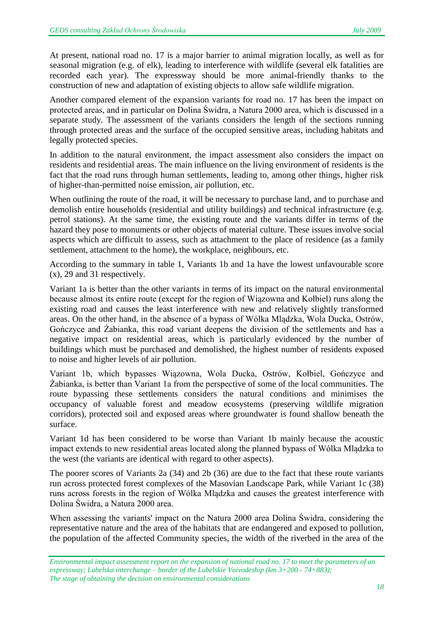At present, national road no. 17 is a major barrier to animal migration locally, as well as for seasonal migration (e.g. of elk), leading to interference with wildlife (several elk fatalities are recorded each year). The expressway should be more animal-friendly thanks to the construction of new and adaptation of existing objects to allow safe wildlife migration.

Another compared element of the expansion variants for road no. 17 has been the impact on protected areas, and in particular on Dolina Świdra, a Natura 2000 area, which is discussed in a separate study. The assessment of the variants considers the length of the sections running through protected areas and the surface of the occupied sensitive areas, including habitats and legally protected species.

In addition to the natural environment, the impact assessment also considers the impact on residents and residential areas. The main influence on the living environment of residents is the fact that the road runs through human settlements, leading to, among other things, higher risk of higher-than-permitted noise emission, air pollution, etc.

When outlining the route of the road, it will be necessary to purchase land, and to purchase and demolish entire households (residential and utility buildings) and technical infrastructure (e.g. petrol stations). At the same time, the existing route and the variants differ in terms of the hazard they pose to monuments or other objects of material culture. These issues involve social aspects which are difficult to assess, such as attachment to the place of residence (as a family settlement, attachment to the home), the workplace, neighbours, etc.

According to the summary in table 1, Variants 1b and 1a have the lowest unfavourable score (x), 29 and 31 respectively.

Variant 1a is better than the other variants in terms of its impact on the natural environmental because almost its entire route (except for the region of Wiązowna and Kołbiel) runs along the existing road and causes the least interference with new and relatively slightly transformed areas. On the other hand, in the absence of a bypass of Wólka Mlądzka, Wola Ducka, Ostrów, Gończyce and Żabianka, this road variant deepens the division of the settlements and has a negative impact on residential areas, which is particularly evidenced by the number of buildings which must be purchased and demolished, the highest number of residents exposed to noise and higher levels of air pollution.

Variant 1b, which bypasses Wiązowna, Wola Ducka, Ostrów, Kołbiel, Gończyce and Żabianka, is better than Variant 1a from the perspective of some of the local communities. The route bypassing these settlements considers the natural conditions and minimises the occupancy of valuable forest and meadow ecosystems (preserving wildlife migration corridors), protected soil and exposed areas where groundwater is found shallow beneath the surface.

Variant 1d has been considered to be worse than Variant 1b mainly because the acoustic impact extends to new residential areas located along the planned bypass of Wólka Mlądzka to the west (the variants are identical with regard to other aspects).

The poorer scores of Variants 2a (34) and 2b (36) are due to the fact that these route variants run across protected forest complexes of the Masovian Landscape Park, while Variant 1c (38) runs across forests in the region of Wólka Mlądzka and causes the greatest interference with Dolina Świdra, a Natura 2000 area.

When assessing the variants' impact on the Natura 2000 area Dolina Świdra, considering the representative nature and the area of the habitats that are endangered and exposed to pollution, the population of the affected Community species, the width of the riverbed in the area of the

*Environmental impact assessment report on the expansion of national road no. 17 to meet the parameters of an expressway; Lubelska interchange – border of the Lubelskie Voivodeship (km 3+200 - 74+883); The stage of obtaining the decision on environmental considerations*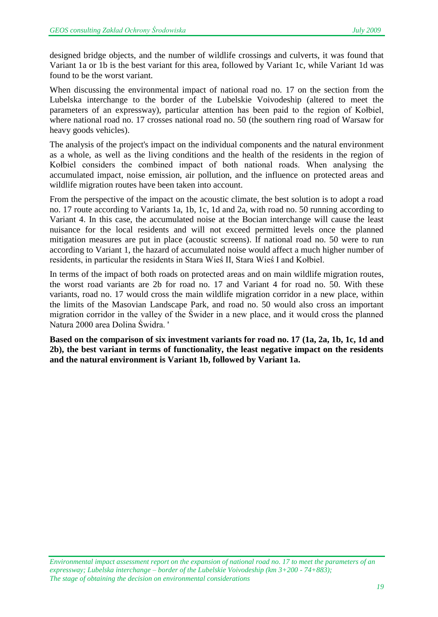designed bridge objects, and the number of wildlife crossings and culverts, it was found that Variant 1a or 1b is the best variant for this area, followed by Variant 1c, while Variant 1d was found to be the worst variant.

When discussing the environmental impact of national road no. 17 on the section from the Lubelska interchange to the border of the Lubelskie Voivodeship (altered to meet the parameters of an expressway), particular attention has been paid to the region of Kołbiel, where national road no. 17 crosses national road no. 50 (the southern ring road of Warsaw for heavy goods vehicles).

The analysis of the project's impact on the individual components and the natural environment as a whole, as well as the living conditions and the health of the residents in the region of Kołbiel considers the combined impact of both national roads. When analysing the accumulated impact, noise emission, air pollution, and the influence on protected areas and wildlife migration routes have been taken into account.

From the perspective of the impact on the acoustic climate, the best solution is to adopt a road no. 17 route according to Variants 1a, 1b, 1c, 1d and 2a, with road no. 50 running according to Variant 4. In this case, the accumulated noise at the Bocian interchange will cause the least nuisance for the local residents and will not exceed permitted levels once the planned mitigation measures are put in place (acoustic screens). If national road no. 50 were to run according to Variant 1, the hazard of accumulated noise would affect a much higher number of residents, in particular the residents in Stara Wieś II, Stara Wieś I and Kołbiel.

In terms of the impact of both roads on protected areas and on main wildlife migration routes, the worst road variants are 2b for road no. 17 and Variant 4 for road no. 50. With these variants, road no. 17 would cross the main wildlife migration corridor in a new place, within the limits of the Masovian Landscape Park, and road no. 50 would also cross an important migration corridor in the valley of the Świder in a new place, and it would cross the planned Natura 2000 area Dolina Świdra. '

**Based on the comparison of six investment variants for road no. 17 (1a, 2a, 1b, 1c, 1d and 2b), the best variant in terms of functionality, the least negative impact on the residents and the natural environment is Variant 1b, followed by Variant 1a.**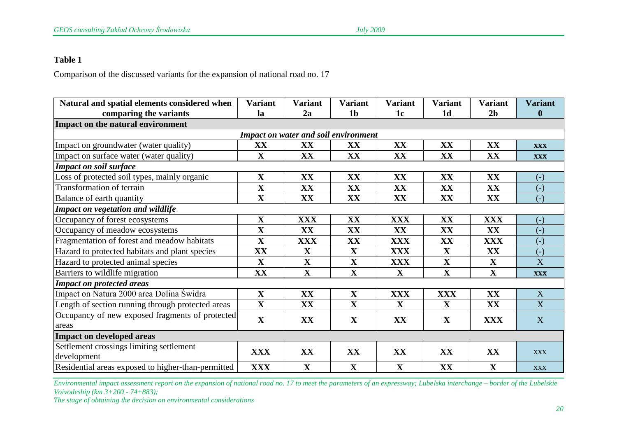#### **Table 1**

Comparison of the discussed variants for the expansion of national road no. 17

| Natural and spatial elements considered when       | <b>Variant</b> | <b>Variant</b> | <b>Variant</b> | <b>Variant</b> | <b>Variant</b> | <b>Variant</b> | <b>Variant</b>        |  |  |  |
|----------------------------------------------------|----------------|----------------|----------------|----------------|----------------|----------------|-----------------------|--|--|--|
| comparing the variants                             | la             | 2a             | 1 <sub>b</sub> | 1 <sub>c</sub> | 1 <sub>d</sub> | 2 <sub>b</sub> | $\bf{0}$              |  |  |  |
| Impact on the natural environment                  |                |                |                |                |                |                |                       |  |  |  |
| <b>Impact on water and soil environment</b>        |                |                |                |                |                |                |                       |  |  |  |
| Impact on groundwater (water quality)              | XX             | XX             | XX             | XX             | XX             | XX             | <b>XXX</b>            |  |  |  |
| Impact on surface water (water quality)            | $\mathbf X$    | XX             | XX             | XX             | XX             | XX             | <b>XXX</b>            |  |  |  |
| <b>Impact on soil surface</b>                      |                |                |                |                |                |                |                       |  |  |  |
| Loss of protected soil types, mainly organic       | $\mathbf X$    | XX             | XX             | XX             | XX             | XX             | $\left( -\right)$     |  |  |  |
| Transformation of terrain                          | $\mathbf X$    | XX             | XX             | XX             | XX             | XX             | $\left( -\right)$     |  |  |  |
| Balance of earth quantity                          | $\mathbf X$    | XX             | XX             | XX             | XX             | XX             | $(-)$                 |  |  |  |
| Impact on vegetation and wildlife                  |                |                |                |                |                |                |                       |  |  |  |
| Occupancy of forest ecosystems                     | $\mathbf X$    | <b>XXX</b>     | XX             | <b>XXX</b>     | XX             | <b>XXX</b>     | $(-)$                 |  |  |  |
| Occupancy of meadow ecosystems                     | $\mathbf X$    | XX             | XX             | XX             | XX             | XX             | $(-)$                 |  |  |  |
| Fragmentation of forest and meadow habitats        | $\mathbf X$    | <b>XXX</b>     | XX             | <b>XXX</b>     | XX             | <b>XXX</b>     | $(-)$                 |  |  |  |
| Hazard to protected habitats and plant species     | XX             | $\mathbf X$    | $\mathbf{X}$   | <b>XXX</b>     | $\mathbf X$    | XX             | $(-)$                 |  |  |  |
| Hazard to protected animal species                 | $\mathbf X$    | $\mathbf X$    | $\mathbf{X}$   | <b>XXX</b>     | $\mathbf X$    | $\mathbf{X}$   | $\overline{\text{X}}$ |  |  |  |
| Barriers to wildlife migration                     | XX             | $\mathbf X$    | $\mathbf{X}$   | $\mathbf{X}$   | $\mathbf X$    | $\mathbf X$    | <b>XXX</b>            |  |  |  |
| <b>Impact on protected areas</b>                   |                |                |                |                |                |                |                       |  |  |  |
| Impact on Natura 2000 area Dolina Świdra           | $\mathbf X$    | XX             | $\mathbf X$    | <b>XXX</b>     | <b>XXX</b>     | XX             | X                     |  |  |  |
| Length of section running through protected areas  | $\mathbf X$    | XX             | $\mathbf X$    | $\mathbf X$    | $\mathbf X$    | XX             | X                     |  |  |  |
| Occupancy of new exposed fragments of protected    | $\mathbf X$    | XX             | $\mathbf X$    | XX             | $\mathbf X$    | <b>XXX</b>     | X                     |  |  |  |
| areas                                              |                |                |                |                |                |                |                       |  |  |  |
| <b>Impact on developed areas</b>                   |                |                |                |                |                |                |                       |  |  |  |
| Settlement crossings limiting settlement           | <b>XXX</b>     | XX             | XX             | XX             | XX             | XX             | <b>XXX</b>            |  |  |  |
| development                                        |                |                |                |                |                |                |                       |  |  |  |
| Residential areas exposed to higher-than-permitted | <b>XXX</b>     | $\mathbf X$    | $\mathbf X$    | $\mathbf X$    | XX             | $\mathbf X$    | <b>XXX</b>            |  |  |  |

*Environmental impact assessment report on the expansion of national road no. 17 to meet the parameters of an expressway; Lubelska interchange – border of the Lubelskie Voivodeship (km 3+200 - 74+883);*

*The stage of obtaining the decision on environmental considerations*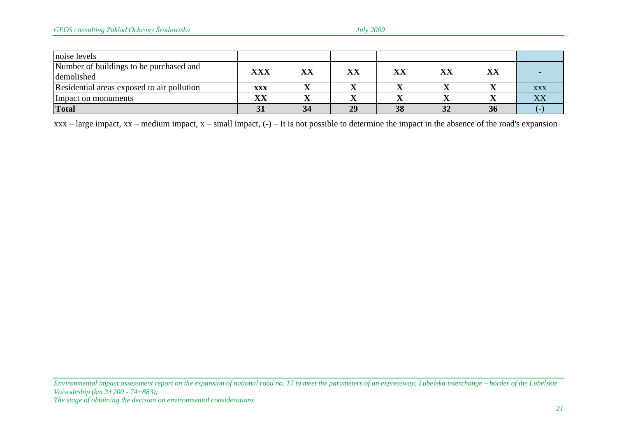| noise levels                               |            |                        |    |    |               |    |            |
|--------------------------------------------|------------|------------------------|----|----|---------------|----|------------|
| Number of buildings to be purchased and    | <b>XXX</b> | $\mathbf{X}\mathbf{X}$ | XX | VV | $\mathbf{XX}$ |    |            |
| demolished                                 |            |                        |    |    |               |    |            |
| Residential areas exposed to air pollution | <b>XXX</b> |                        |    |    |               |    | <b>XXX</b> |
| Impact on monuments                        | XX         |                        |    |    |               |    |            |
| <b>Total</b>                               |            |                        | 29 | 38 | 32            | ЭO |            |

 $xxx - large impact, xx - medium impact, x - small impact, (-) - It is not possible to determine the impact in the absence of the road's expansion$ 

*Environmental impact assessment report on the expansion of national road no. 17 to meet the parameters of an expressway; Lubelska interchange – border of the Lubelskie Voivodeship (km 3+200 - 74+883); The stage of obtaining the decision on environmental considerations*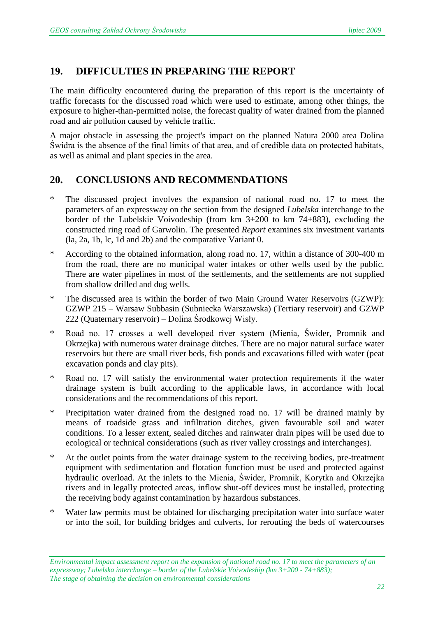#### **19. DIFFICULTIES IN PREPARING THE REPORT**

The main difficulty encountered during the preparation of this report is the uncertainty of traffic forecasts for the discussed road which were used to estimate, among other things, the exposure to higher-than-permitted noise, the forecast quality of water drained from the planned road and air pollution caused by vehicle traffic.

A major obstacle in assessing the project's impact on the planned Natura 2000 area Dolina Świdra is the absence of the final limits of that area, and of credible data on protected habitats, as well as animal and plant species in the area.

#### **20. CONCLUSIONS AND RECOMMENDATIONS**

- \* The discussed project involves the expansion of national road no. 17 to meet the parameters of an expressway on the section from the designed *Lubelska* interchange to the border of the Lubelskie Voivodeship (from km 3+200 to km 74+883), excluding the constructed ring road of Garwolin. The presented *Report* examines six investment variants (la, 2a, 1b, lc, 1d and 2b) and the comparative Variant 0.
- \* According to the obtained information, along road no. 17, within a distance of 300-400 m from the road, there are no municipal water intakes or other wells used by the public. There are water pipelines in most of the settlements, and the settlements are not supplied from shallow drilled and dug wells.
- \* The discussed area is within the border of two Main Ground Water Reservoirs (GZWP): GZWP 215 – Warsaw Subbasin (Subniecka Warszawska) (Tertiary reservoir) and GZWP 222 (Quaternary reservoir) – Dolina Środkowej Wisły.
- \* Road no. 17 crosses a well developed river system (Mienia, Świder, Promnik and Okrzejka) with numerous water drainage ditches. There are no major natural surface water reservoirs but there are small river beds, fish ponds and excavations filled with water (peat excavation ponds and clay pits).
- \* Road no. 17 will satisfy the environmental water protection requirements if the water drainage system is built according to the applicable laws, in accordance with local considerations and the recommendations of this report.
- \* Precipitation water drained from the designed road no. 17 will be drained mainly by means of roadside grass and infiltration ditches, given favourable soil and water conditions. To a lesser extent, sealed ditches and rainwater drain pipes will be used due to ecological or technical considerations (such as river valley crossings and interchanges).
- At the outlet points from the water drainage system to the receiving bodies, pre-treatment equipment with sedimentation and flotation function must be used and protected against hydraulic overload. At the inlets to the Mienia, Świder, Promnik, Korytka and Okrzejka rivers and in legally protected areas, inflow shut-off devices must be installed, protecting the receiving body against contamination by hazardous substances.
- \* Water law permits must be obtained for discharging precipitation water into surface water or into the soil, for building bridges and culverts, for rerouting the beds of watercourses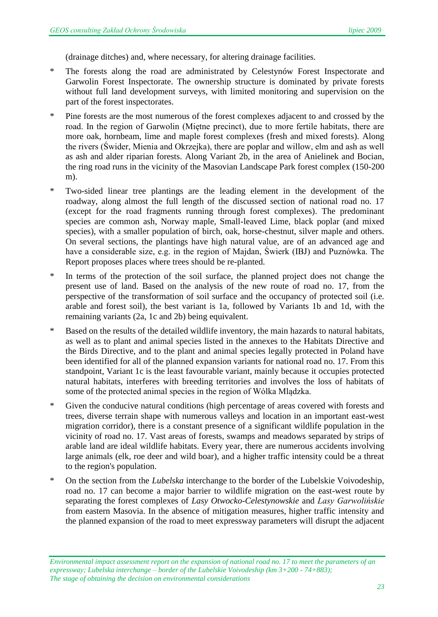(drainage ditches) and, where necessary, for altering drainage facilities.

- \* The forests along the road are administrated by Celestynów Forest Inspectorate and Garwolin Forest Inspectorate. The ownership structure is dominated by private forests without full land development surveys, with limited monitoring and supervision on the part of the forest inspectorates.
- \* Pine forests are the most numerous of the forest complexes adjacent to and crossed by the road. In the region of Garwolin (Miętne precinct), due to more fertile habitats, there are more oak, hornbeam, lime and maple forest complexes (fresh and mixed forests). Along the rivers (Świder, Mienia and Okrzejka), there are poplar and willow, elm and ash as well as ash and alder riparian forests. Along Variant 2b, in the area of Anielinek and Bocian, the ring road runs in the vicinity of the Masovian Landscape Park forest complex (150-200 m).
- \* Two-sided linear tree plantings are the leading element in the development of the roadway, along almost the full length of the discussed section of national road no. 17 (except for the road fragments running through forest complexes). The predominant species are common ash, Norway maple, Small-leaved Lime, black poplar (and mixed species), with a smaller population of birch, oak, horse-chestnut, silver maple and others. On several sections, the plantings have high natural value, are of an advanced age and have a considerable size, e.g. in the region of Majdan, Świerk (IBJ) and Puznówka. The Report proposes places where trees should be re-planted.
- In terms of the protection of the soil surface, the planned project does not change the present use of land. Based on the analysis of the new route of road no. 17, from the perspective of the transformation of soil surface and the occupancy of protected soil (i.e. arable and forest soil), the best variant is 1a, followed by Variants 1b and 1d, with the remaining variants (2a, 1c and 2b) being equivalent.
- \* Based on the results of the detailed wildlife inventory, the main hazards to natural habitats, as well as to plant and animal species listed in the annexes to the Habitats Directive and the Birds Directive, and to the plant and animal species legally protected in Poland have been identified for all of the planned expansion variants for national road no. 17. From this standpoint, Variant 1c is the least favourable variant, mainly because it occupies protected natural habitats, interferes with breeding territories and involves the loss of habitats of some of the protected animal species in the region of Wólka Mlądzka.
- Given the conducive natural conditions (high percentage of areas covered with forests and trees, diverse terrain shape with numerous valleys and location in an important east-west migration corridor), there is a constant presence of a significant wildlife population in the vicinity of road no. 17. Vast areas of forests, swamps and meadows separated by strips of arable land are ideal wildlife habitats. Every year, there are numerous accidents involving large animals (elk, roe deer and wild boar), and a higher traffic intensity could be a threat to the region's population.
- \* On the section from the *Lubelska* interchange to the border of the Lubelskie Voivodeship, road no. 17 can become a major barrier to wildlife migration on the east-west route by separating the forest complexes of *Lasy Otwocko-Celestynowskie* and *Lasy Garwolińskie* from eastern Masovia. In the absence of mitigation measures, higher traffic intensity and the planned expansion of the road to meet expressway parameters will disrupt the adjacent

*Environmental impact assessment report on the expansion of national road no. 17 to meet the parameters of an expressway; Lubelska interchange – border of the Lubelskie Voivodeship (km 3+200 - 74+883); The stage of obtaining the decision on environmental considerations*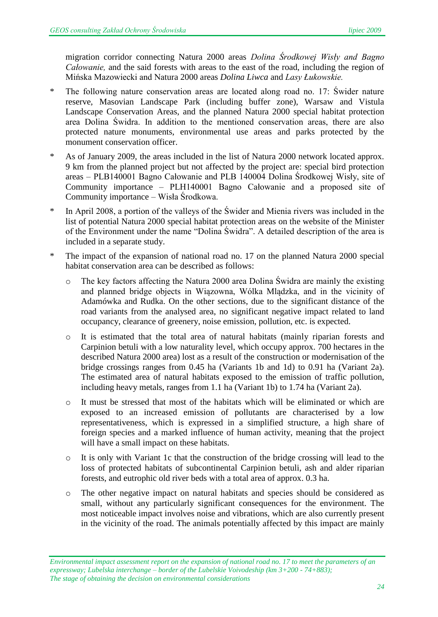migration corridor connecting Natura 2000 areas *Dolina Środkowej Wisły and Bagno Całowanie,* and the said forests with areas to the east of the road, including the region of Mińska Mazowiecki and Natura 2000 areas *Dolina Liwca* and *Lasy Łukowskie.*

- \* The following nature conservation areas are located along road no. 17: Świder nature reserve, Masovian Landscape Park (including buffer zone), Warsaw and Vistula Landscape Conservation Areas, and the planned Natura 2000 special habitat protection area Dolina Świdra. In addition to the mentioned conservation areas, there are also protected nature monuments, environmental use areas and parks protected by the monument conservation officer.
- \* As of January 2009, the areas included in the list of Natura 2000 network located approx. 9 km from the planned project but not affected by the project are: special bird protection areas – PLB140001 Bagno Całowanie and PLB 140004 Dolina Środkowej Wisły, site of Community importance – PLH140001 Bagno Całowanie and a proposed site of Community importance – Wisła Środkowa.
- \* In April 2008, a portion of the valleys of the Świder and Mienia rivers was included in the list of potential Natura 2000 special habitat protection areas on the website of the Minister of the Environment under the name "Dolina Świdra". A detailed description of the area is included in a separate study.
- \* The impact of the expansion of national road no. 17 on the planned Natura 2000 special habitat conservation area can be described as follows:
	- o The key factors affecting the Natura 2000 area Dolina Świdra are mainly the existing and planned bridge objects in Wiązowna, Wólka Mlądzka, and in the vicinity of Adamówka and Rudka. On the other sections, due to the significant distance of the road variants from the analysed area, no significant negative impact related to land occupancy, clearance of greenery, noise emission, pollution, etc. is expected.
	- o It is estimated that the total area of natural habitats (mainly riparian forests and Carpinion betuli with a low naturality level, which occupy approx. 700 hectares in the described Natura 2000 area) lost as a result of the construction or modernisation of the bridge crossings ranges from 0.45 ha (Variants 1b and 1d) to 0.91 ha (Variant 2a). The estimated area of natural habitats exposed to the emission of traffic pollution, including heavy metals, ranges from 1.1 ha (Variant 1b) to 1.74 ha (Variant 2a).
	- o It must be stressed that most of the habitats which will be eliminated or which are exposed to an increased emission of pollutants are characterised by a low representativeness, which is expressed in a simplified structure, a high share of foreign species and a marked influence of human activity, meaning that the project will have a small impact on these habitats.
	- o It is only with Variant 1c that the construction of the bridge crossing will lead to the loss of protected habitats of subcontinental Carpinion betuli, ash and alder riparian forests, and eutrophic old river beds with a total area of approx. 0.3 ha.
	- o The other negative impact on natural habitats and species should be considered as small, without any particularly significant consequences for the environment. The most noticeable impact involves noise and vibrations, which are also currently present in the vicinity of the road. The animals potentially affected by this impact are mainly

*Environmental impact assessment report on the expansion of national road no. 17 to meet the parameters of an expressway; Lubelska interchange – border of the Lubelskie Voivodeship (km 3+200 - 74+883); The stage of obtaining the decision on environmental considerations*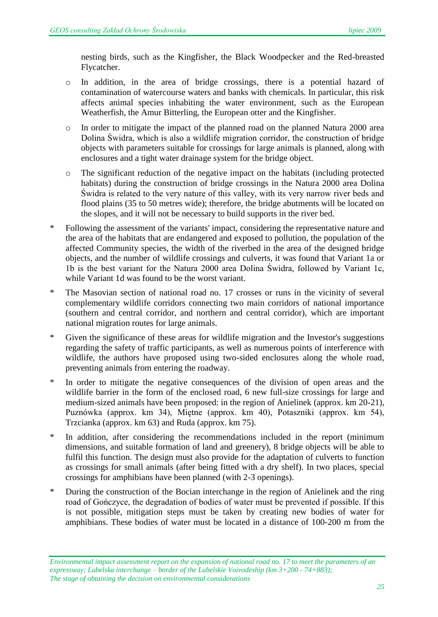nesting birds, such as the Kingfisher, the Black Woodpecker and the Red-breasted Flycatcher.

- o In addition, in the area of bridge crossings, there is a potential hazard of contamination of watercourse waters and banks with chemicals. In particular, this risk affects animal species inhabiting the water environment, such as the European Weatherfish, the Amur Bitterling, the European otter and the Kingfisher.
- o In order to mitigate the impact of the planned road on the planned Natura 2000 area Dolina Świdra, which is also a wildlife migration corridor, the construction of bridge objects with parameters suitable for crossings for large animals is planned, along with enclosures and a tight water drainage system for the bridge object.
- o The significant reduction of the negative impact on the habitats (including protected habitats) during the construction of bridge crossings in the Natura 2000 area Dolina Świdra is related to the very nature of this valley, with its very narrow river beds and flood plains (35 to 50 metres wide); therefore, the bridge abutments will be located on the slopes, and it will not be necessary to build supports in the river bed.
- Following the assessment of the variants' impact, considering the representative nature and the area of the habitats that are endangered and exposed to pollution, the population of the affected Community species, the width of the riverbed in the area of the designed bridge objects, and the number of wildlife crossings and culverts, it was found that Variant 1a or 1b is the best variant for the Natura 2000 area Dolina Świdra, followed by Variant 1c, while Variant 1d was found to be the worst variant.
- \* The Masovian section of national road no. 17 crosses or runs in the vicinity of several complementary wildlife corridors connecting two main corridors of national importance (southern and central corridor, and northern and central corridor), which are important national migration routes for large animals.
- \* Given the significance of these areas for wildlife migration and the Investor's suggestions regarding the safety of traffic participants, as well as numerous points of interference with wildlife, the authors have proposed using two-sided enclosures along the whole road, preventing animals from entering the roadway.
- \* In order to mitigate the negative consequences of the division of open areas and the wildlife barrier in the form of the enclosed road, 6 new full-size crossings for large and medium-sized animals have been proposed: in the region of Anielinek (approx. km 20-21), Puznówka (approx. km 34), Miętne (approx. km 40), Potaszniki (approx. km 54), Trzcianka (approx. km 63) and Ruda (approx. km 75).
- \* In addition, after considering the recommendations included in the report (minimum dimensions, and suitable formation of land and greenery), 8 bridge objects will be able to fulfil this function. The design must also provide for the adaptation of culverts to function as crossings for small animals (after being fitted with a dry shelf). In two places, special crossings for amphibians have been planned (with 2-3 openings).
- \* During the construction of the Bocian interchange in the region of Anielinek and the ring road of Gończyce, the degradation of bodies of water must be prevented if possible. If this is not possible, mitigation steps must be taken by creating new bodies of water for amphibians. These bodies of water must be located in a distance of 100-200 m from the

*Environmental impact assessment report on the expansion of national road no. 17 to meet the parameters of an expressway; Lubelska interchange – border of the Lubelskie Voivodeship (km 3+200 - 74+883); The stage of obtaining the decision on environmental considerations*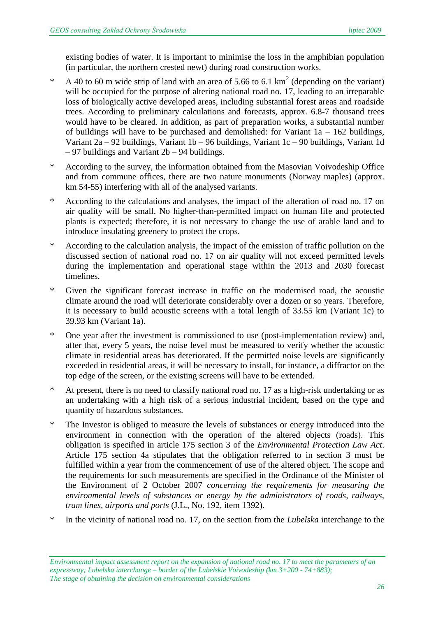existing bodies of water. It is important to minimise the loss in the amphibian population (in particular, the northern crested newt) during road construction works.

- \* A 40 to 60 m wide strip of land with an area of 5.66 to 6.1  $\text{km}^2$  (depending on the variant) will be occupied for the purpose of altering national road no. 17, leading to an irreparable loss of biologically active developed areas, including substantial forest areas and roadside trees. According to preliminary calculations and forecasts, approx. 6.8-7 thousand trees would have to be cleared. In addition, as part of preparation works, a substantial number of buildings will have to be purchased and demolished: for Variant  $1a - 162$  buildings, Variant 2a – 92 buildings, Variant 1b – 96 buildings, Variant 1c – 90 buildings, Variant 1d – 97 buildings and Variant 2b – 94 buildings.
- \* According to the survey, the information obtained from the Masovian Voivodeship Office and from commune offices, there are two nature monuments (Norway maples) (approx. km 54-55) interfering with all of the analysed variants.
- \* According to the calculations and analyses, the impact of the alteration of road no. 17 on air quality will be small. No higher-than-permitted impact on human life and protected plants is expected; therefore, it is not necessary to change the use of arable land and to introduce insulating greenery to protect the crops.
- According to the calculation analysis, the impact of the emission of traffic pollution on the discussed section of national road no. 17 on air quality will not exceed permitted levels during the implementation and operational stage within the 2013 and 2030 forecast timelines.
- \* Given the significant forecast increase in traffic on the modernised road, the acoustic climate around the road will deteriorate considerably over a dozen or so years. Therefore, it is necessary to build acoustic screens with a total length of 33.55 km (Variant 1c) to 39.93 km (Variant 1a).
- \* One year after the investment is commissioned to use (post-implementation review) and, after that, every 5 years, the noise level must be measured to verify whether the acoustic climate in residential areas has deteriorated. If the permitted noise levels are significantly exceeded in residential areas, it will be necessary to install, for instance, a diffractor on the top edge of the screen, or the existing screens will have to be extended.
- \* At present, there is no need to classify national road no. 17 as a high-risk undertaking or as an undertaking with a high risk of a serious industrial incident, based on the type and quantity of hazardous substances.
- The Investor is obliged to measure the levels of substances or energy introduced into the environment in connection with the operation of the altered objects (roads). This obligation is specified in article 175 section 3 of the *Environmental Protection Law Act*. Article 175 section 4a stipulates that the obligation referred to in section 3 must be fulfilled within a year from the commencement of use of the altered object. The scope and the requirements for such measurements are specified in the Ordinance of the Minister of the Environment of 2 October 2007 *concerning the requirements for measuring the environmental levels of substances or energy by the administrators of roads, railways, tram lines, airports and ports* (J.L., No. 192, item 1392).
- \* In the vicinity of national road no. 17, on the section from the *Lubelska* interchange to the